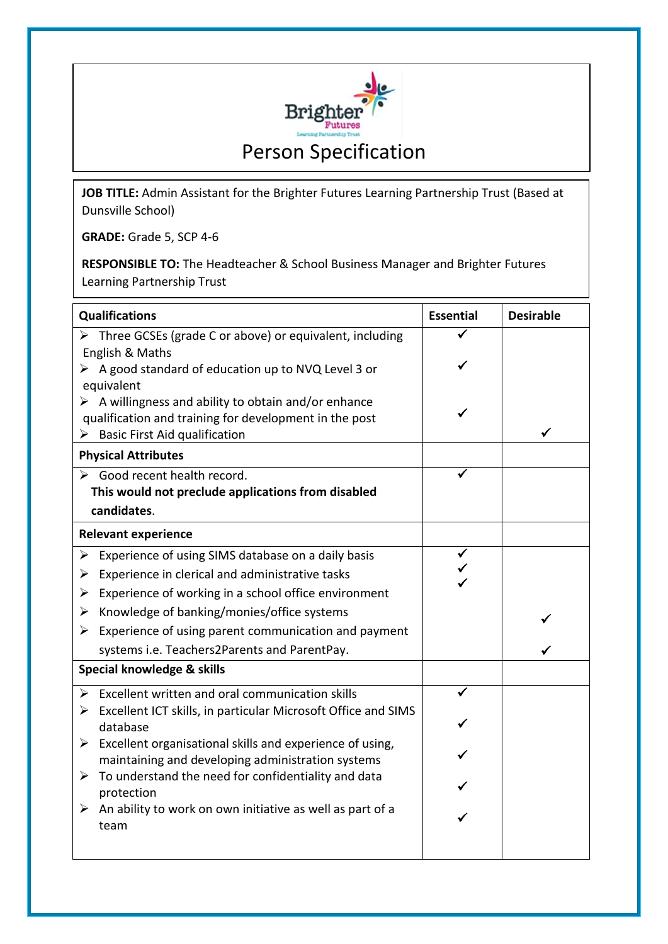

**JOB TITLE:** Admin Assistant for the Brighter Futures Learning Partnership Trust (Based at Dunsville School)

**GRADE:** Grade 5, SCP 4-6

**RESPONSIBLE TO:** The Headteacher & School Business Manager and Brighter Futures Learning Partnership Trust

| <b>Qualifications</b>      |                                                                                                                                | <b>Essential</b> | <b>Desirable</b> |
|----------------------------|--------------------------------------------------------------------------------------------------------------------------------|------------------|------------------|
|                            | $\triangleright$ Three GCSEs (grade C or above) or equivalent, including                                                       |                  |                  |
|                            | English & Maths                                                                                                                |                  |                  |
|                            | $\triangleright$ A good standard of education up to NVQ Level 3 or                                                             |                  |                  |
|                            | equivalent                                                                                                                     |                  |                  |
|                            | $\triangleright$ A willingness and ability to obtain and/or enhance                                                            |                  |                  |
| ➤                          | qualification and training for development in the post<br><b>Basic First Aid qualification</b>                                 |                  | ✓                |
| <b>Physical Attributes</b> |                                                                                                                                |                  |                  |
|                            | > Good recent health record.                                                                                                   |                  |                  |
|                            | This would not preclude applications from disabled                                                                             |                  |                  |
|                            | candidates.                                                                                                                    |                  |                  |
| <b>Relevant experience</b> |                                                                                                                                |                  |                  |
| ➤                          | Experience of using SIMS database on a daily basis                                                                             |                  |                  |
| ➤                          | Experience in clerical and administrative tasks                                                                                |                  |                  |
| ➤                          | Experience of working in a school office environment                                                                           |                  |                  |
| ➤                          | Knowledge of banking/monies/office systems                                                                                     |                  |                  |
| ➤                          | Experience of using parent communication and payment                                                                           |                  |                  |
|                            | systems i.e. Teachers2Parents and ParentPay.                                                                                   |                  |                  |
| Special knowledge & skills |                                                                                                                                |                  |                  |
| ➤                          | Excellent written and oral communication skills                                                                                |                  |                  |
| ➤                          | Excellent ICT skills, in particular Microsoft Office and SIMS                                                                  |                  |                  |
|                            | database                                                                                                                       |                  |                  |
|                            | $\triangleright$ Excellent organisational skills and experience of using,<br>maintaining and developing administration systems |                  |                  |
| ➤                          | To understand the need for confidentiality and data                                                                            |                  |                  |
|                            | protection                                                                                                                     |                  |                  |
|                            | $\triangleright$ An ability to work on own initiative as well as part of a                                                     |                  |                  |
|                            | team                                                                                                                           |                  |                  |
|                            |                                                                                                                                |                  |                  |